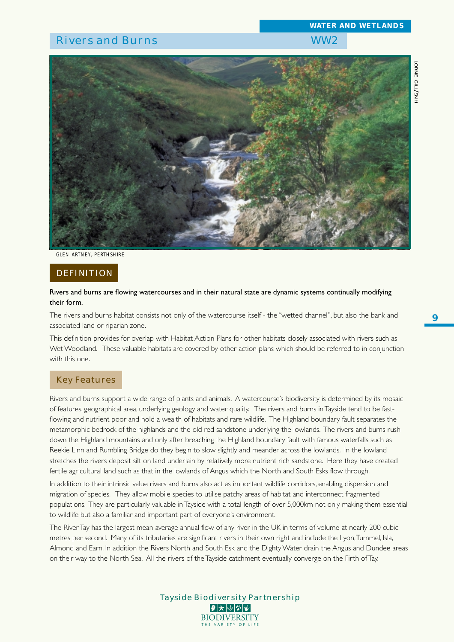

*GLEN ARTNEY, PERTHSHIRE*

### **DEFINITION**

#### Rivers and burns are flowing watercourses and in their natural state are dynamic systems continually modifying their form.

The rivers and burns habitat consists not only of the watercourse itself - the "wetted channel", but also the bank and associated land or riparian zone.

This definition provides for overlap with Habitat Action Plans for other habitats closely associated with rivers such as Wet Woodland. These valuable habitats are covered by other action plans which should be referred to in conjunction with this one.

#### Key Features

Rivers and burns support a wide range of plants and animals. A watercourse's biodiversity is determined by its mosaic of features, geographical area, underlying geology and water quality. The rivers and burns in Tayside tend to be fastflowing and nutrient poor and hold a wealth of habitats and rare wildlife. The Highland boundary fault separates the metamorphic bedrock of the highlands and the old red sandstone underlying the lowlands. The rivers and burns rush down the Highland mountains and only after breaching the Highland boundary fault with famous waterfalls such as Reekie Linn and Rumbling Bridge do they begin to slow slightly and meander across the lowlands. In the lowland stretches the rivers deposit silt on land underlain by relatively more nutrient rich sandstone. Here they have created fertile agricultural land such as that in the lowlands of Angus which the North and South Esks flow through.

In addition to their intrinsic value rivers and burns also act as important wildlife corridors, enabling dispersion and migration of species. They allow mobile species to utilise patchy areas of habitat and interconnect fragmented populations. They are particularly valuable in Tayside with a total length of over 5,000km not only making them essential to wildlife but also a familiar and important part of everyone's environment.

The River Tay has the largest mean average annual flow of any river in the UK in terms of volume at nearly 200 cubic metres per second. Many of its tributaries are significant rivers in their own right and include the Lyon, Tummel, Isla, Almond and Earn. In addition the Rivers North and South Esk and the Dighty Water drain the Angus and Dundee areas on their way to the North Sea. All the rivers of the Tayside catchment eventually converge on the Firth of Tay.

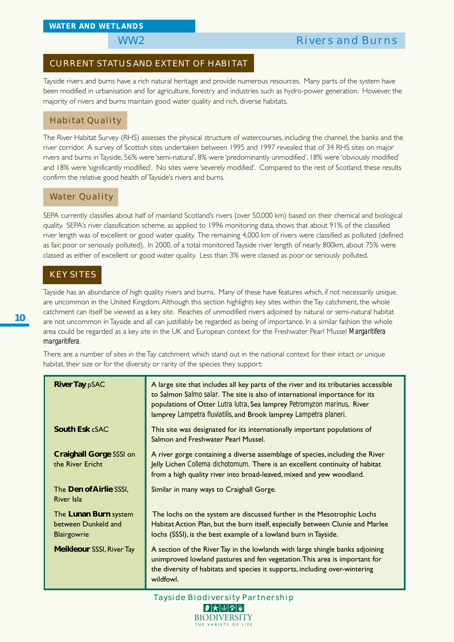## WW2 Rivers and Burns

#### CURRENT STATUS AND EXTENT OF HABITAT

Tayside rivers and burns have a rich natural heritage and provide numerous resources. Many parts of the system have been modified in urbanisation and for agriculture, forestry and industries such as hydro-power generation. However, the majority of rivers and burns maintain good water quality and rich, diverse habitats.

### Habitat Quality

The River Habitat Survey (RHS) assesses the physical structure of watercourses, including the channel, the banks and the river corridor. A survey of Scottish sites undertaken between 1995 and 1997 revealed that of 34 RHS sites on major rivers and burns in Tayside, 56% were 'semi-natural', 8% were 'predominantly unmodified', 18% were 'obviously modified' and 18% were 'significantly modified'. No sites were 'severely modified'. Compared to the rest of Scotland, these results confirm the relative good health of Tayside's rivers and burns.

#### Water Quality

SEPA currently classifies about half of mainland Scotland's rivers (over 50,000 km) based on their chemical and biological quality. SEPA's river classification scheme, as applied to 1996 monitoring data, shows that about 91% of the classified river length was of excellent or good water quality. The remaining 4,000 km of rivers were classified as polluted (defined as fair, poor or seriously polluted). In 2000, of a total monitored Tayside river length of nearly 800km, about 75% were classed as either of excellent or good water quality. Less than 3% were classed as poor or seriously polluted.

### KEY SITES

Tayside has an abundance of high quality rivers and burns. Many of these have features which, if not necessarily unique, are uncommon in the United Kingdom. Although this section highlights key sites within the Tay catchment, the whole catchment can itself be viewed as a key site. Reaches of unmodified rivers adjoined by natural or semi-natural habitat are not uncommon in Tayside and all can justifiably be regarded as being of importance. In a similar fashion the whole area could be regarded as a key site in the UK and European context for the Freshwater Pearl Mussel *Margaritifera margaritifera*.

There are a number of sites in the Tay catchment which stand out in the national context for their intact or unique habitat, their size or for the diversity or rarity of the species they support:

| <b>River Tay pSAC</b>                                       | A large site that includes all key parts of the river and its tributaries accessible<br>to Salmon Salmo salar. The site is also of international importance for its<br>populations of Otter Lutra lutra, Sea lamprey Petromyzon marinus, River<br>lamprey Lampetra fluviatilis, and Brook lamprey Lampetra planeri. |
|-------------------------------------------------------------|---------------------------------------------------------------------------------------------------------------------------------------------------------------------------------------------------------------------------------------------------------------------------------------------------------------------|
| South Esk cSAC                                              | This site was designated for its internationally important populations of<br>Salmon and Freshwater Pearl Mussel.                                                                                                                                                                                                    |
| <b>Craighall Gorge SSSI on</b><br>the River Ericht          | A river gorge containing a diverse assemblage of species, including the River<br>Jelly Lichen Collema dichotomum. There is an excellent continuity of habitat<br>from a high quality river into broad-leaved, mixed and yew woodland.                                                                               |
| The Den of Airlie SSSI,<br>River Isla                       | Similar in many ways to Craighall Gorge.                                                                                                                                                                                                                                                                            |
| The Lunan Burn system<br>between Dunkeld and<br>Blairgowrie | The lochs on the system are discussed further in the Mesotrophic Lochs<br>Habitat Action Plan, but the burn itself, especially between Clunie and Marlee<br>lochs (SSSI), is the best example of a lowland burn in Tayside.                                                                                         |
| <b>Meikleour SSSI, River Tay</b>                            | A section of the River Tay in the lowlands with large shingle banks adjoining<br>unimproved lowland pastures and fen vegetation. This area is important for<br>the diversity of habitats and species it supports, including over-wintering<br>wildfowl.                                                             |

Tayside Biodiversity Partnership |₽ ★ ↓ ↓ ↓ ↓ ↓ **BIODIVERSITY** THE VARIETY OF LI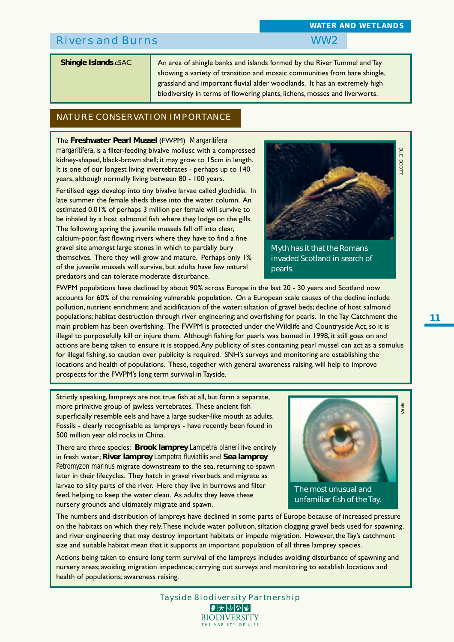**Shingle Islands** cSAC **An area of shingle banks and islands formed by the River Tummel and Tay** showing a variety of transition and mosaic communities from bare shingle, grassland and important fluvial alder woodlands. It has an extremely high biodiversity in terms of flowering plants, lichens, mosses and liverworts.

## NATURE CONSERVATION IMPORTANCE

The **Freshwater Pearl Mussel** (FWPM) *Margaritifera margaritifera*, is a filter-feeding bivalve mollusc with a compressed kidney-shaped, black-brown shell; it may grow to 15cm in length. It is one of our longest living invertebrates - perhaps up to 140 years, although normally living between 80 - 100 years.

Fertilised eggs develop into tiny bivalve larvae called glochidia. In late summer the female sheds these into the water column. An estimated 0.01% of perhaps 3 million per female will survive to be inhaled by a host salmonid fish where they lodge on the gills. The following spring the juvenile mussels fall off into clear, calcium-poor, fast flowing rivers where they have to find a fine gravel site amongst large stones in which to partially bury themselves. There they will grow and mature. Perhaps only 1% of the juvenile mussels will survive, but adults have few natural

predators and can tolerate moderate disturbance.

SUE SCO

Myth has it that the Romans invaded Scotland in search of pearls.

**SEPA SEPA SEPA SEPA SEPA SEPA SEPA SEPA** FWPM populations have declined by about 90% across Europe in the last 20 - 30 years and Scotland now accounts for 60% of the remaining vulnerable population. On a European scale causes of the decline include pollution, nutrient enrichment and acidification of the water; siltation of gravel beds; decline of host salmonid populations; habitat destruction through river engineering; and overfishing for pearls. In the Tay Catchment the main problem has been overfishing. The FWPM is protected under the Wildlife and Countryside Act, so it is illegal to purposefully kill or injure them. Although fishing for pearls was banned in 1998, it still goes on and actions are being taken to ensure it is stopped. Any publicity of sites containing pearl mussel can act as a stimulus for illegal fishing, so caution over publicity is required. SNH's surveys and monitoring are establishing the locations and health of populations. These, together with general awareness raising, will help to improve prospects for the FWPM's long term survival in Tayside.

Strictly speaking, lampreys are not true fish at all, but form a separate, more primitive group of jawless vertebrates. These ancient fish superficially resemble eels and have a large sucker-like mouth as adults. Fossils - clearly recognisable as lampreys - have recently been found in 500 million year old rocks in China.

There are three species: **Brook lamprey** *Lampetra planeri* live entirely in fresh water; **River lamprey** *Lampetra fluviatilis* and **Sea lamprey** *Petromyzon marinus* migrate downstream to the sea, returning to spawn later in their lifecycles. They hatch in gravel riverbeds and migrate as larvae to silty parts of the river. Here they live in burrows and filter feed, helping to keep the water clean. As adults they leave these nursery grounds and ultimately migrate and spawn.



The numbers and distribution of lampreys have declined in some parts of Europe because of increased pressure on the habitats on which they rely. These include water pollution, siltation clogging gravel beds used for spawning, and river engineering that may destroy important habitats or impede migration. However, the Tay's catchment size and suitable habitat mean that it supports an important population of all three lamprey species.

Actions being taken to ensure long term survival of the lampreys includes avoiding disturbance of spawning and nursery areas; avoiding migration impedance; carrying out surveys and monitoring to establish locations and health of populations; awareness raising.

Tayside Biodiversity Partnership

 $|\mathcal{F}|$  $\bigtriangledown$   $|\mathcal{F}|$   $|\mathcal{F}|$   $|\mathcal{F}|$ **BIODIVERSITY** THE VARIETY OF LI



#### *WATER AND WETLANDS*

**11**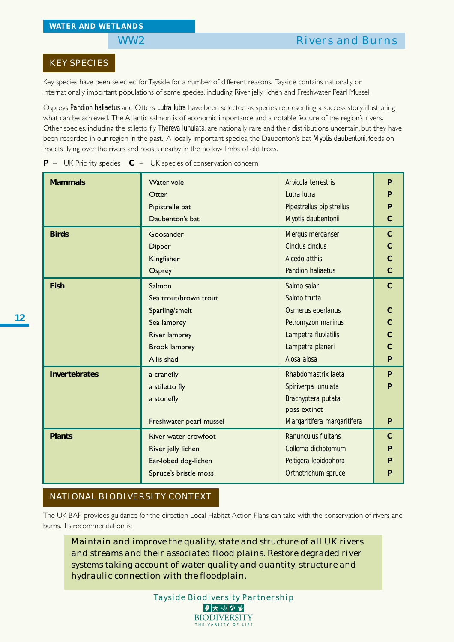### KEY SPECIES

Key species have been selected for Tayside for a number of different reasons. Tayside contains nationally or internationally important populations of some species, including River jelly lichen and Freshwater Pearl Mussel.

Ospreys *Pandion haliaetus* and Otters *Lutra lutra* have been selected as species representing a success story, illustrating what can be achieved. The Atlantic salmon is of economic importance and a notable feature of the region's rivers. Other species, including the stiletto fly *Thereva lunulata*, are nationally rare and their distributions uncertain, but they have been recorded in our region in the past. A locally important species, the Daubenton's bat *Myotis daubentoni*, feeds on insects flying over the rivers and roosts nearby in the hollow limbs of old trees.

| <b>Mammals</b>       | Water vole                         | Arvicola terrestris         | P              |  |  |  |  |  |
|----------------------|------------------------------------|-----------------------------|----------------|--|--|--|--|--|
|                      | Otter                              | Lutra lutra                 | P              |  |  |  |  |  |
|                      | Pipistrelle bat                    | Pipestrellus pipistrellus   | P              |  |  |  |  |  |
|                      | Daubenton's bat                    | Myotis daubentonii          | $\overline{C}$ |  |  |  |  |  |
| <b>Birds</b>         | Goosander                          | Mergus merganser            | $\mathbf C$    |  |  |  |  |  |
|                      | <b>Dipper</b>                      | Cinclus cinclus             | $\mathbf C$    |  |  |  |  |  |
|                      | Kingfisher                         | Alcedo atthis               | $\overline{C}$ |  |  |  |  |  |
|                      | <b>Pandion haliaetus</b><br>Osprey |                             |                |  |  |  |  |  |
| <b>Fish</b>          | Salmon                             | Salmo salar                 | $\mathbf{C}$   |  |  |  |  |  |
|                      | Sea trout/brown trout              | Salmo trutta                |                |  |  |  |  |  |
|                      | Sparling/smelt                     | Osmerus eperlanus           | $\mathbf C$    |  |  |  |  |  |
|                      | Sea lamprey                        | Petromyzon marinus          | $\mathsf{C}$   |  |  |  |  |  |
|                      | <b>River lamprey</b>               | Lampetra fluviatilis        | $\overline{C}$ |  |  |  |  |  |
|                      | <b>Brook lamprey</b>               | Lampetra planeri            | $\overline{C}$ |  |  |  |  |  |
|                      | Allis shad                         | Alosa alosa                 | P              |  |  |  |  |  |
| <b>Invertebrates</b> | a cranefly                         | Rhabdomastrix laeta         | P              |  |  |  |  |  |
|                      | a stiletto fly                     | Spiriverpa lunulata         | P              |  |  |  |  |  |
|                      | a stonefly                         | Brachyptera putata          |                |  |  |  |  |  |
|                      |                                    | poss extinct                |                |  |  |  |  |  |
|                      | Freshwater pearl mussel            | Margaritifera margaritifera | P              |  |  |  |  |  |
| <b>Plants</b>        | River water-crowfoot               | Ranunculus fluitans         | $\mathbf C$    |  |  |  |  |  |
|                      | River jelly lichen                 | Collema dichotomum          | P              |  |  |  |  |  |
|                      | Ear-lobed dog-lichen               | Peltigera lepidophora       | P              |  |  |  |  |  |
|                      | Spruce's bristle moss              | Orthotrichum spruce         | P              |  |  |  |  |  |

**P** = UK Priority species  $C = UK$  species of conservation concern

## NATIONAL BIODIVERSITY CONTEXT

The UK BAP provides guidance for the direction Local Habitat Action Plans can take with the conservation of rivers and burns. Its recommendation is:

*Maintain and improve the quality, state and structure of all UK rivers and streams and their associated flood plains. Restore degraded river systems taking account of water quality and quantity, structure and hydraulic connection with the floodplain.*

> Tayside Biodiversity Partnership **BIODIVERSITY** THE VARIETY OF LIF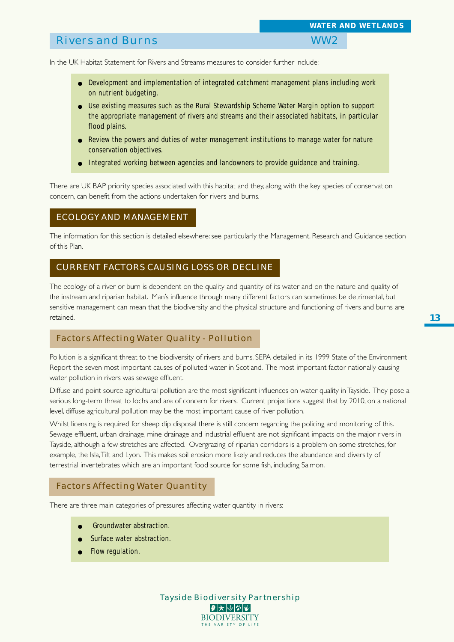In the UK Habitat Statement for Rivers and Streams measures to consider further include:

- Development and implementation of integrated catchment management plans including work on nutrient budgeting.
- Use existing measures such as the Rural Stewardship Scheme Water Margin option to support the appropriate management of rivers and streams and their associated habitats, in particular flood plains.
- Review the powers and duties of water management institutions to manage water for nature conservation objectives.
- Integrated working between agencies and landowners to provide guidance and training.

There are UK BAP priority species associated with this habitat and they, along with the key species of conservation concern, can benefit from the actions undertaken for rivers and burns.

#### ECOLOGY AND MANAGEMENT

The information for this section is detailed elsewhere: see particularly the Management, Research and Guidance section of this Plan.

### CURRENT FACTORS CAUSING LOSS OR DECLINE

The ecology of a river or burn is dependent on the quality and quantity of its water and on the nature and quality of the instream and riparian habitat. Man's influence through many different factors can sometimes be detrimental, but sensitive management can mean that the biodiversity and the physical structure and functioning of rivers and burns are retained.

#### Factors Affecting Water Quality - Pollution

Pollution is a significant threat to the biodiversity of rivers and burns. SEPA detailed in its 1999 State of the Environment Report the seven most important causes of polluted water in Scotland. The most important factor nationally causing water pollution in rivers was sewage effluent.

Diffuse and point source agricultural pollution are the most significant influences on water quality in Tayside. They pose a serious long-term threat to lochs and are of concern for rivers. Current projections suggest that by 2010, on a national level, diffuse agricultural pollution may be the most important cause of river pollution.

Whilst licensing is required for sheep dip disposal there is still concern regarding the policing and monitoring of this. Sewage effluent, urban drainage, mine drainage and industrial effluent are not significant impacts on the major rivers in Tayside, although a few stretches are affected. Overgrazing of riparian corridors is a problem on some stretches, for example, the Isla, Tilt and Lyon. This makes soil erosion more likely and reduces the abundance and diversity of terrestrial invertebrates which are an important food source for some fish, including Salmon.

#### Factors Affecting Water Quantity

There are three main categories of pressures affecting water quantity in rivers:

- Groundwater abstraction.
- Surface water abstraction.
- Flow regulation.

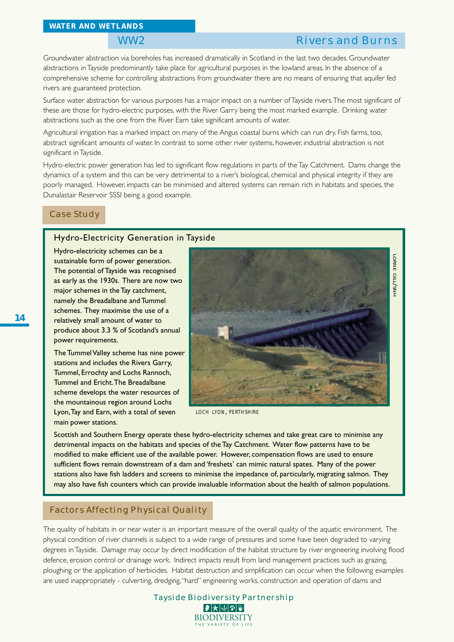## WW2 Rivers and Burns

Groundwater abstraction via boreholes has increased dramatically in Scotland in the last two decades. Groundwater abstractions in Tayside predominantly take place for agricultural purposes in the lowland areas. In the absence of a comprehensive scheme for controlling abstractions from groundwater there are no means of ensuring that aquifer fed rivers are guaranteed protection.

Surface water abstraction for various purposes has a major impact on a number of Tayside rivers. The most significant of these are those for hydro-electric purposes, with the River Garry being the most marked example. Drinking water abstractions such as the one from the River Earn take significant amounts of water.

Agricultural irrigation has a marked impact on many of the Angus coastal burns which can run dry. Fish farms, too, abstract significant amounts of water. In contrast to some other river systems, however, industrial abstraction is not significant in Tayside.

Hydro-electric power generation has led to significant flow regulations in parts of the Tay Catchment. Dams change the dynamics of a system and this can be very detrimental to a river's biological, chemical and physical integrity if they are poorly managed. However, impacts can be minimised and altered systems can remain rich in habitats and species, the Dunalastair Reservoir SSSI being a good example.

### Case Study

#### Hydro-Electricity Generation in Tayside

Hydro-electricity schemes can be a sustainable form of power generation. The potential of Tayside was recognised as early as the 1930s. There are now two major schemes in the Tay catchment, namely the Breadalbane and Tummel schemes. They maximise the use of a relatively small amount of water to produce about 3.3 % of Scotland's annual power requirements.

The Tummel Valley scheme has nine power stations and includes the Rivers Garry, Tummel, Errochty and Lochs Rannoch, Tummel and Ericht. The Breadalbane scheme develops the water resources of the mountainous region around Lochs Lyon, Tay and Earn, with a total of seven main power stations.



*LOCH LYON, PERTHSHIRE*

Scottish and Southern Energy operate these hydro-electricity schemes and take great care to minimise any detrimental impacts on the habitats and species of the Tay Catchment. Water flow patterns have to be modified to make efficient use of the available power. However, compensation flows are used to ensure sufficient flows remain downstream of a dam and 'freshets' can mimic natural spates. Many of the power stations also have fish ladders and screens to minimise the impedance of, particularly, migrating salmon. They may also have fish counters which can provide invaluable information about the health of salmon populations.

#### Factors Affecting Physical Quality

The quality of habitats in or near water is an important measure of the overall quality of the aquatic environment. The physical condition of river channels is subject to a wide range of pressures and some have been degraded to varying degrees in Tayside. Damage may occur by direct modification of the habitat structure by river engineering involving flood defence, erosion control or drainage work. Indirect impacts result from land management practices such as grazing, ploughing or the application of herbicides. Habitat destruction and simplification can occur when the following examples are used inappropriately - culverting, dredging, "hard" engineering works, construction and operation of dams and

| Tayside Biodiversity Partnership                                                                                                                    |
|-----------------------------------------------------------------------------------------------------------------------------------------------------|
| $\blacksquare \blacktriangleright \hspace{-.45em} \blacktriangleright \hspace{-.45em} \lvert \lozenge \rvert \mathscr{V} \rvert \mathscr{V} \rvert$ |
| <b>BIODIVERSITY</b>                                                                                                                                 |
| THE VARIETY OF LIFE                                                                                                                                 |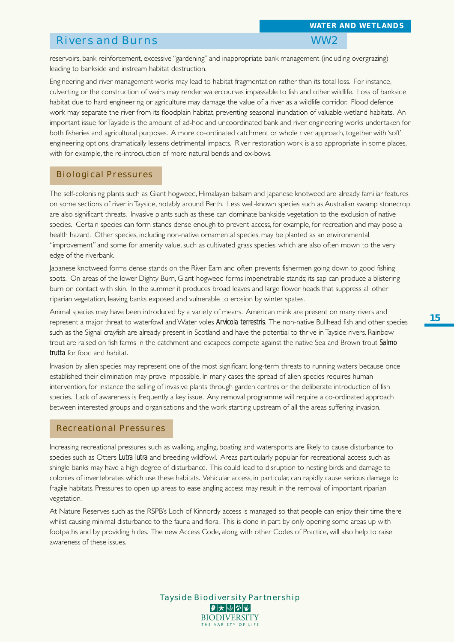## Rivers and Burns WW2

reservoirs, bank reinforcement, excessive "gardening" and inappropriate bank management (including overgrazing) leading to bankside and instream habitat destruction.

Engineering and river management works may lead to habitat fragmentation rather than its total loss. For instance, culverting or the construction of weirs may render watercourses impassable to fish and other wildlife. Loss of bankside habitat due to hard engineering or agriculture may damage the value of a river as a wildlife corridor. Flood defence work may separate the river from its floodplain habitat, preventing seasonal inundation of valuable wetland habitats. An important issue for Tayside is the amount of ad-hoc and uncoordinated bank and river engineering works undertaken for both fisheries and agricultural purposes. A more co-ordinated catchment or whole river approach, together with 'soft' engineering options, dramatically lessens detrimental impacts. River restoration work is also appropriate in some places, with for example, the re-introduction of more natural bends and ox-bows.

#### Biological Pressures

The self-colonising plants such as Giant hogweed, Himalayan balsam and Japanese knotweed are already familiar features on some sections of river in Tayside, notably around Perth. Less well-known species such as Australian swamp stonecrop are also significant threats. Invasive plants such as these can dominate bankside vegetation to the exclusion of native species. Certain species can form stands dense enough to prevent access, for example, for recreation and may pose a health hazard. Other species, including non-native ornamental species, may be planted as an environmental "improvement" and some for amenity value, such as cultivated grass species, which are also often mown to the very edge of the riverbank.

Japanese knotweed forms dense stands on the River Earn and often prevents fishermen going down to good fishing spots. On areas of the lower Dighty Burn, Giant hogweed forms impenetrable stands; its sap can produce a blistering burn on contact with skin. In the summer it produces broad leaves and large flower heads that suppress all other riparian vegetation, leaving banks exposed and vulnerable to erosion by winter spates.

Animal species may have been introduced by a variety of means. American mink are present on many rivers and represent a major threat to waterfowl and Water voles *Arvicola terrestris*. The non-native Bullhead fish and other species such as the Signal crayfish are already present in Scotland and have the potential to thrive in Tayside rivers. Rainbow trout are raised on fish farms in the catchment and escapees compete against the native Sea and Brown trout *Salmo trutta* for food and habitat.

Invasion by alien species may represent one of the most significant long-term threats to running waters because once established their elimination may prove impossible. In many cases the spread of alien species requires human intervention, for instance the selling of invasive plants through garden centres or the deliberate introduction of fish species. Lack of awareness is frequently a key issue. Any removal programme will require a co-ordinated approach between interested groups and organisations and the work starting upstream of all the areas suffering invasion.

#### Recreational Pressures

Increasing recreational pressures such as walking, angling, boating and watersports are likely to cause disturbance to species such as Otters *Lutra lutra* and breeding wildfowl. Areas particularly popular for recreational access such as shingle banks may have a high degree of disturbance. This could lead to disruption to nesting birds and damage to colonies of invertebrates which use these habitats. Vehicular access, in particular, can rapidly cause serious damage to fragile habitats. Pressures to open up areas to ease angling access may result in the removal of important riparian vegetation.

At Nature Reserves such as the RSPB's Loch of Kinnordy access is managed so that people can enjoy their time there whilst causing minimal disturbance to the fauna and flora. This is done in part by only opening some areas up with footpaths and by providing hides. The new Access Code, along with other Codes of Practice, will also help to raise awareness of these issues.

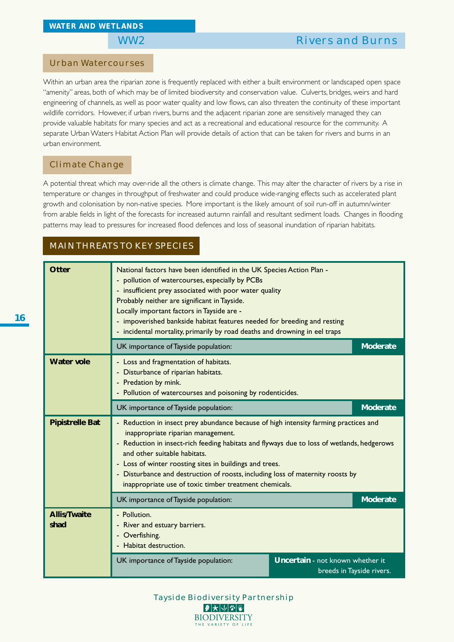### Urban Watercourses

Within an urban area the riparian zone is frequently replaced with either a built environment or landscaped open space "amenity" areas, both of which may be of limited biodiversity and conservation value. Culverts, bridges, weirs and hard engineering of channels, as well as poor water quality and low flows, can also threaten the continuity of these important wildlife corridors. However, if urban rivers, burns and the adjacent riparian zone are sensitively managed they can provide valuable habitats for many species and act as a recreational and educational resource for the community. A separate Urban Waters Habitat Action Plan will provide details of action that can be taken for rivers and burns in an urban environment.

#### Climate Change

A potential threat which may over-ride all the others is climate change. This may alter the character of rivers by a rise in temperature or changes in throughput of freshwater and could produce wide-ranging effects such as accelerated plant growth and colonisation by non-native species. More important is the likely amount of soil run-off in autumn/winter from arable fields in light of the forecasts for increased autumn rainfall and resultant sediment loads. Changes in flooding patterns may lead to pressures for increased flood defences and loss of seasonal inundation of riparian habitats.

## MAIN THREATS TO KEY SPECIES

| Otter                       | National factors have been identified in the UK Species Action Plan -<br>- pollution of watercourses, especially by PCBs<br>- insufficient prey associated with poor water quality<br>Probably neither are significant in Tayside.<br>Locally important factors in Tayside are -<br>- impoverished bankside habitat features needed for breeding and resting<br>- incidental mortality, primarily by road deaths and drowning in eel traps                      |  |                 |  |  |  |  |  |  |
|-----------------------------|-----------------------------------------------------------------------------------------------------------------------------------------------------------------------------------------------------------------------------------------------------------------------------------------------------------------------------------------------------------------------------------------------------------------------------------------------------------------|--|-----------------|--|--|--|--|--|--|
|                             | UK importance of Tayside population:                                                                                                                                                                                                                                                                                                                                                                                                                            |  |                 |  |  |  |  |  |  |
| <b>Water vole</b>           | - Loss and fragmentation of habitats.<br>- Disturbance of riparian habitats.<br>- Predation by mink.<br>- Pollution of watercourses and poisoning by rodenticides.                                                                                                                                                                                                                                                                                              |  |                 |  |  |  |  |  |  |
|                             | UK importance of Tayside population:                                                                                                                                                                                                                                                                                                                                                                                                                            |  | <b>Moderate</b> |  |  |  |  |  |  |
| <b>Pipistrelle Bat</b>      | - Reduction in insect prey abundance because of high intensity farming practices and<br>inappropriate riparian management.<br>- Reduction in insect-rich feeding habitats and flyways due to loss of wetlands, hedgerows<br>and other suitable habitats.<br>- Loss of winter roosting sites in buildings and trees.<br>- Disturbance and destruction of roosts, including loss of maternity roosts by<br>inappropriate use of toxic timber treatment chemicals. |  |                 |  |  |  |  |  |  |
|                             | UK importance of Tayside population:                                                                                                                                                                                                                                                                                                                                                                                                                            |  | <b>Moderate</b> |  |  |  |  |  |  |
| <b>Allis/Twaite</b><br>shad | - Pollution.<br>River and estuary barriers.<br>- Overfishing.<br>Habitat destruction.                                                                                                                                                                                                                                                                                                                                                                           |  |                 |  |  |  |  |  |  |
|                             | <b>Uncertain</b> - not known whether it<br>breeds in Tayside rivers.                                                                                                                                                                                                                                                                                                                                                                                            |  |                 |  |  |  |  |  |  |

Tayside Biodiversity Partnership **BIODIVERSITY** THE VARIETY OF LIFE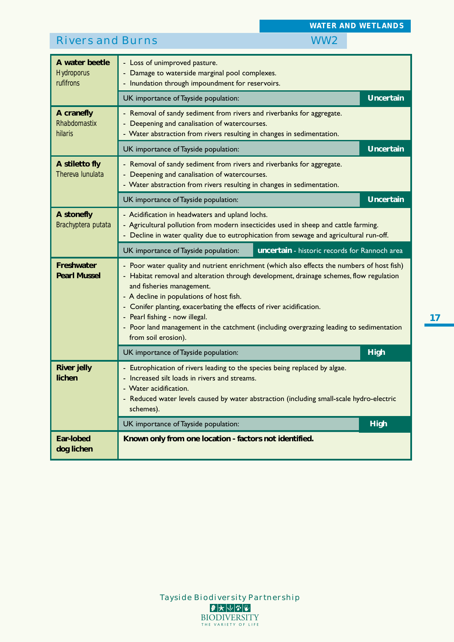|                                                         |                                                                                                                                                                                                                                                                                                                                        | <b>WATER AND WETLANDS</b> |  |  |  |  |  |  |
|---------------------------------------------------------|----------------------------------------------------------------------------------------------------------------------------------------------------------------------------------------------------------------------------------------------------------------------------------------------------------------------------------------|---------------------------|--|--|--|--|--|--|
| <b>Rivers and Burns</b>                                 | WW <sub>2</sub>                                                                                                                                                                                                                                                                                                                        |                           |  |  |  |  |  |  |
| A water beetle<br><b>Hydroporus</b><br><i>rufifrons</i> | - Loss of unimproved pasture.<br>Damage to waterside marginal pool complexes.<br>- Inundation through impoundment for reservoirs.                                                                                                                                                                                                      |                           |  |  |  |  |  |  |
|                                                         | UK importance of Tayside population:                                                                                                                                                                                                                                                                                                   | <b>Uncertain</b>          |  |  |  |  |  |  |
| A cranefly<br>Rhabdomastix<br>hilaris                   | - Removal of sandy sediment from rivers and riverbanks for aggregate.<br>Deepening and canalisation of watercourses.<br>- Water abstraction from rivers resulting in changes in sedimentation.                                                                                                                                         |                           |  |  |  |  |  |  |
|                                                         | UK importance of Tayside population:                                                                                                                                                                                                                                                                                                   | <b>Uncertain</b>          |  |  |  |  |  |  |
| A stiletto fly<br>Thereva lunulata                      | - Removal of sandy sediment from rivers and riverbanks for aggregate.<br>Deepening and canalisation of watercourses.<br>- Water abstraction from rivers resulting in changes in sedimentation.                                                                                                                                         |                           |  |  |  |  |  |  |
|                                                         | UK importance of Tayside population:                                                                                                                                                                                                                                                                                                   | <b>Uncertain</b>          |  |  |  |  |  |  |
| A stonefly<br>Brachyptera putata                        | - Acidification in headwaters and upland lochs.<br>- Agricultural pollution from modern insecticides used in sheep and cattle farming.<br>- Decline in water quality due to eutrophication from sewage and agricultural run-off.                                                                                                       |                           |  |  |  |  |  |  |
|                                                         | uncertain - historic records for Rannoch area<br>UK importance of Tayside population:                                                                                                                                                                                                                                                  |                           |  |  |  |  |  |  |
| Freshwater<br><b>Pearl Mussel</b>                       | - Poor water quality and nutrient enrichment (which also effects the numbers of host fish)<br>- Habitat removal and alteration through development, drainage schemes, flow regulation<br>and fisheries management.<br>- A decline in populations of host fish.<br>- Conifer planting, exacerbating the effects of river acidification. |                           |  |  |  |  |  |  |
|                                                         | - Pearl fishing - now illegal.<br>- Poor land management in the catchment (including overgrazing leading to sedimentation<br>from soil erosion).                                                                                                                                                                                       |                           |  |  |  |  |  |  |
|                                                         | UK importance of Tayside population:                                                                                                                                                                                                                                                                                                   | <b>High</b>               |  |  |  |  |  |  |
| <b>River jelly</b><br>lichen                            | - Eutrophication of rivers leading to the species being replaced by algae.<br>Increased silt loads in rivers and streams.<br>- Water acidification.<br>- Reduced water levels caused by water abstraction (including small-scale hydro-electric<br>schemes).                                                                           |                           |  |  |  |  |  |  |
|                                                         | UK importance of Tayside population:                                                                                                                                                                                                                                                                                                   | <b>High</b>               |  |  |  |  |  |  |



**17**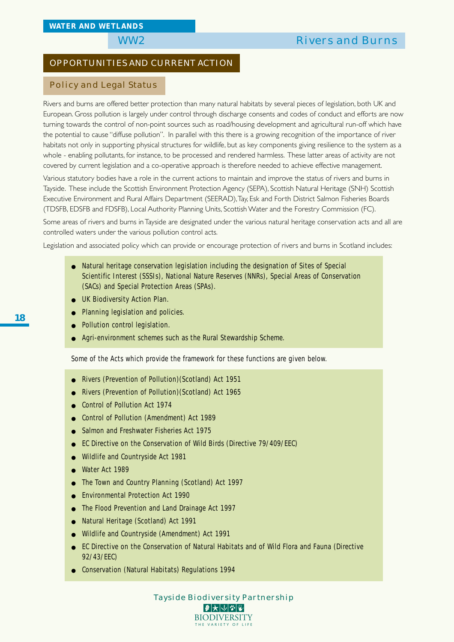## OPPORTUNITIES AND CURRENT ACTION

#### Policy and Legal Status

Rivers and burns are offered better protection than many natural habitats by several pieces of legislation, both UK and European. Gross pollution is largely under control through discharge consents and codes of conduct and efforts are now turning towards the control of non-point sources such as road/housing development and agricultural run-off which have the potential to cause "diffuse pollution". In parallel with this there is a growing recognition of the importance of river habitats not only in supporting physical structures for wildlife, but as key components giving resilience to the system as a whole - enabling pollutants, for instance, to be processed and rendered harmless. These latter areas of activity are not covered by current legislation and a co-operative approach is therefore needed to achieve effective management.

Various statutory bodies have a role in the current actions to maintain and improve the status of rivers and burns in Tayside. These include the Scottish Environment Protection Agency (SEPA), Scottish Natural Heritage (SNH) Scottish Executive Environment and Rural Affairs Department (SEERAD), Tay, Esk and Forth District Salmon Fisheries Boards (TDSFB, EDSFB and FDSFB), Local Authority Planning Units, Scottish Water and the Forestry Commission (FC).

Some areas of rivers and burns in Tayside are designated under the various natural heritage conservation acts and all are controlled waters under the various pollution control acts.

Legislation and associated policy which can provide or encourage protection of rivers and burns in Scotland includes:

- Natural heritage conservation legislation including the designation of Sites of Special Scientific Interest (SSSIs), National Nature Reserves (NNRs), Special Areas of Conservation (SACs) and Special Protection Areas (SPAs).
- UK Biodiversity Action Plan.
- Planning legislation and policies.
- Pollution control legislation.
- Agri-environment schemes such as the Rural Stewardship Scheme.

Some of the Acts which provide the framework for these functions are given below.

- Rivers (Prevention of Pollution)(Scotland) Act 1951
- Rivers (Prevention of Pollution)(Scotland) Act 1965
- Control of Pollution Act 1974
- Control of Pollution (Amendment) Act 1989
- Salmon and Freshwater Fisheries Act 1975
- EC Directive on the Conservation of Wild Birds (Directive 79/409/EEC)
- Wildlife and Countryside Act 1981
- Water Act 1989
- The Town and Country Planning (Scotland) Act 1997
- Environmental Protection Act 1990
- The Flood Prevention and Land Drainage Act 1997
- Natural Heritage (Scotland) Act 1991
- Wildlife and Countryside (Amendment) Act 1991
- EC Directive on the Conservation of Natural Habitats and of Wild Flora and Fauna (Directive 92/43/EEC)
- Conservation (Natural Habitats) Regulations 1994

Tayside Biodiversity Partnership |₽ ★ ↓ ↓ ↓ ↓ ↓ **BIODIVERSITY** HE VARIETY OF L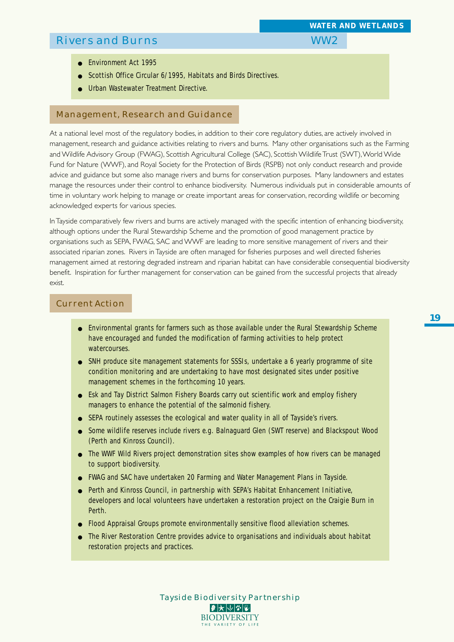- *WATER AND WETLANDS*
- 

- Environment Act 1995
- Scottish Office Circular 6/1995, Habitats and Birds Directives.
- **Urban Wastewater Treatment Directive.**

#### Management, Research and Guidance

At a national level most of the regulatory bodies, in addition to their core regulatory duties, are actively involved in management, research and guidance activities relating to rivers and burns. Many other organisations such as the Farming and Wildlife Advisory Group (FWAG), Scottish Agricultural College (SAC), Scottish Wildlife Trust (SWT), World Wide Fund for Nature (WWF), and Royal Society for the Protection of Birds (RSPB) not only conduct research and provide advice and guidance but some also manage rivers and burns for conservation purposes. Many landowners and estates manage the resources under their control to enhance biodiversity. Numerous individuals put in considerable amounts of time in voluntary work helping to manage or create important areas for conservation, recording wildlife or becoming acknowledged experts for various species.

In Tayside comparatively few rivers and burns are actively managed with the specific intention of enhancing biodiversity, although options under the Rural Stewardship Scheme and the promotion of good management practice by organisations such as SEPA, FWAG, SAC and WWF are leading to more sensitive management of rivers and their associated riparian zones. Rivers in Tayside are often managed for fisheries purposes and well directed fisheries management aimed at restoring degraded instream and riparian habitat can have considerable consequential biodiversity benefit. Inspiration for further management for conservation can be gained from the successful projects that already exist.

#### Current Action

- Environmental grants for farmers such as those available under the Rural Stewardship Scheme have encouraged and funded the modification of farming activities to help protect watercourses.
- SNH produce site management statements for SSSIs, undertake a 6 yearly programme of site condition monitoring and are undertaking to have most designated sites under positive management schemes in the forthcoming 10 years.
- Esk and Tay District Salmon Fishery Boards carry out scientific work and employ fishery managers to enhance the potential of the salmonid fishery.
- SEPA routinely assesses the ecological and water quality in all of Tayside's rivers.
- Some wildlife reserves include rivers e.g. Balnaguard Glen (SWT reserve) and Blackspout Wood (Perth and Kinross Council).
- The WWF Wild Rivers project demonstration sites show examples of how rivers can be managed to support biodiversity.
- FWAG and SAC have undertaken 20 Farming and Water Management Plans in Tayside.
- Perth and Kinross Council, in partnership with SEPA's Habitat Enhancement Initiative, developers and local volunteers have undertaken a restoration project on the Craigie Burn in Perth.
- Flood Appraisal Groups promote environmentally sensitive flood alleviation schemes.
- The River Restoration Centre provides advice to organisations and individuals about habitat restoration projects and practices.

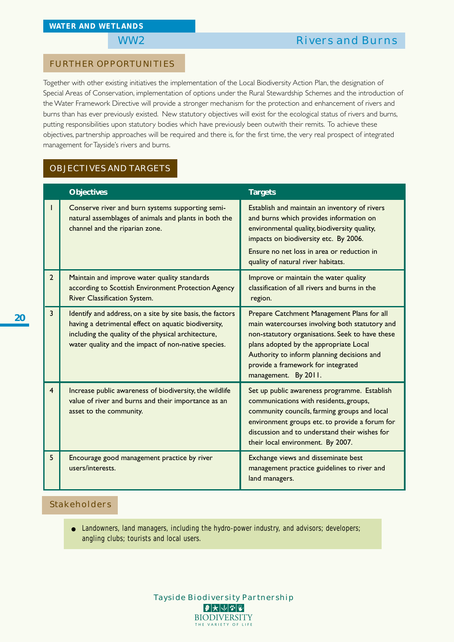#### FURTHER OPPORTUNITIES

Together with other existing initiatives the implementation of the Local Biodiversity Action Plan, the designation of Special Areas of Conservation, implementation of options under the Rural Stewardship Schemes and the introduction of the Water Framework Directive will provide a stronger mechanism for the protection and enhancement of rivers and burns than has ever previously existed. New statutory objectives will exist for the ecological status of rivers and burns, putting responsibilities upon statutory bodies which have previously been outwith their remits. To achieve these objectives, partnership approaches will be required and there is, for the first time, the very real prospect of integrated management for Tayside's rivers and burns.

### OBJECTIVES AND TARGETS

|                | <b>Objectives</b>                                                                                                                                                                                                                | <b>Targets</b>                                                                                                                                                                                                                                                                                        |
|----------------|----------------------------------------------------------------------------------------------------------------------------------------------------------------------------------------------------------------------------------|-------------------------------------------------------------------------------------------------------------------------------------------------------------------------------------------------------------------------------------------------------------------------------------------------------|
|                | Conserve river and burn systems supporting semi-<br>natural assemblages of animals and plants in both the<br>channel and the riparian zone.                                                                                      | Establish and maintain an inventory of rivers<br>and burns which provides information on<br>environmental quality, biodiversity quality,<br>impacts on biodiversity etc. By 2006.<br>Ensure no net loss in area or reduction in<br>quality of natural river habitats.                                 |
| $\mathbf{2}$   | Maintain and improve water quality standards<br>according to Scottish Environment Protection Agency<br>River Classification System.                                                                                              | Improve or maintain the water quality<br>classification of all rivers and burns in the<br>region.                                                                                                                                                                                                     |
| 3              | Identify and address, on a site by site basis, the factors<br>having a detrimental effect on aquatic biodiversity,<br>including the quality of the physical architecture,<br>water quality and the impact of non-native species. | Prepare Catchment Management Plans for all<br>main watercourses involving both statutory and<br>non-statutory organisations. Seek to have these<br>plans adopted by the appropriate Local<br>Authority to inform planning decisions and<br>provide a framework for integrated<br>management. By 2011. |
| $\overline{4}$ | Increase public awareness of biodiversity, the wildlife<br>value of river and burns and their importance as an<br>asset to the community.                                                                                        | Set up public awareness programme. Establish<br>communications with residents, groups,<br>community councils, farming groups and local<br>environment groups etc. to provide a forum for<br>discussion and to understand their wishes for<br>their local environment. By 2007.                        |
| 5              | Encourage good management practice by river<br>users/interests.                                                                                                                                                                  | Exchange views and disseminate best<br>management practice guidelines to river and<br>land managers.                                                                                                                                                                                                  |

### Stakeholders

● Landowners, land managers, including the hydro-power industry, and advisors; developers; angling clubs; tourists and local users.

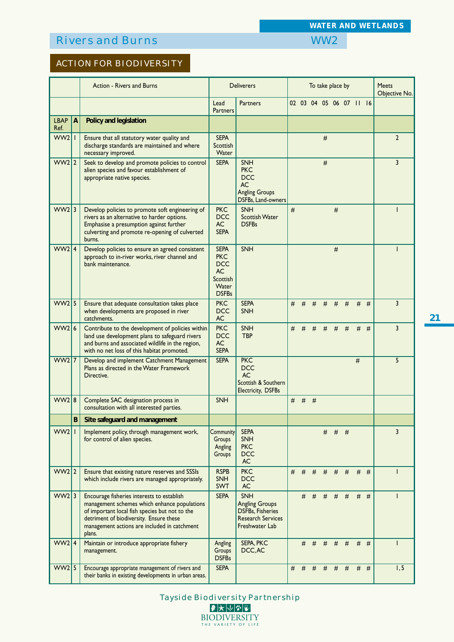ACTION FOR BIODIVERSITY

|                     |                | Action - Rivers and Burns                                                                                                                                                                                                                         |                                                                                           | <b>Deliverers</b>                                                                                            | To take place by        |   |   |   |   |       | <b>Meets</b><br>Objective No. |       |                |
|---------------------|----------------|---------------------------------------------------------------------------------------------------------------------------------------------------------------------------------------------------------------------------------------------------|-------------------------------------------------------------------------------------------|--------------------------------------------------------------------------------------------------------------|-------------------------|---|---|---|---|-------|-------------------------------|-------|----------------|
|                     |                |                                                                                                                                                                                                                                                   | Lead<br><b>Partners</b>                                                                   | <b>Partners</b>                                                                                              | 02 03 04 05 06 07 11 16 |   |   |   |   |       |                               |       |                |
| <b>LBAP</b><br>Ref. | $\overline{A}$ | Policy and legislation                                                                                                                                                                                                                            |                                                                                           |                                                                                                              |                         |   |   |   |   |       |                               |       |                |
| $WW2$               |                | Ensure that all statutory water quality and<br>discharge standards are maintained and where<br>necessary improved.                                                                                                                                | <b>SEPA</b><br>Scottish<br>Water                                                          |                                                                                                              |                         |   |   | # |   |       |                               |       | $\overline{2}$ |
| $WW2$  2            |                | Seek to develop and promote policies to control<br>alien species and favour establishment of<br>appropriate native species.                                                                                                                       | <b>SEPA</b>                                                                               | <b>SNH</b><br><b>PKC</b><br><b>DCC</b><br><b>AC</b><br><b>Angling Groups</b><br>DSFBs, Land-owners           |                         |   |   | # |   |       |                               |       | $\overline{3}$ |
| $WW2$ 3             |                | Develop policies to promote soft engineering of<br>rivers as an alternative to harder options.<br>Emphasise a presumption against further<br>culverting and promote re-opening of culverted<br>burns.                                             | <b>PKC</b><br><b>DCC</b><br>AC<br><b>SEPA</b>                                             | <b>SNH</b><br><b>Scottish Water</b><br><b>DSFBs</b>                                                          | $\#$                    |   |   |   | # |       |                               |       |                |
| WW2 4               |                | Develop policies to ensure an agreed consistent<br>approach to in-river works, river channel and<br>bank maintenance.                                                                                                                             | <b>SEPA</b><br><b>PKC</b><br><b>DCC</b><br><b>AC</b><br>Scottish<br>Water<br><b>DSFBs</b> | SNH                                                                                                          |                         |   |   |   | # |       |                               |       |                |
| $WW2$ 5             |                | Ensure that adequate consultation takes place<br>when developments are proposed in river<br>catchments.                                                                                                                                           | <b>PKC</b><br><b>DCC</b><br><b>AC</b>                                                     | <b>SEPA</b><br><b>SNH</b>                                                                                    | #                       | # | # | # |   | $#$ # | #                             | #     | $\overline{3}$ |
| WW216               |                | Contribute to the development of policies within<br>land use development plans to safeguard rivers<br>and burns and associated wildlife in the region,<br>with no net loss of this habitat promoted.                                              | <b>PKC</b><br><b>DCC</b><br><b>AC</b><br><b>SEPA</b>                                      | <b>SNH</b><br><b>TBP</b>                                                                                     | #                       | # | # | # | # | #     |                               | $#$ # | $\overline{3}$ |
| $WW2$ 7             |                | Develop and implement Catchment Management<br>Plans as directed in the Water Framework<br>Directive.                                                                                                                                              | <b>SEPA</b>                                                                               | <b>PKC</b><br><b>DCC</b><br><b>AC</b><br>Scottish & Southern<br>Electricity, DSFBs                           |                         |   |   |   |   |       | $\#$                          |       | 5              |
| WW2 8               |                | Complete SAC designation process in<br>consultation with all interested parties.                                                                                                                                                                  | <b>SNH</b>                                                                                |                                                                                                              | #                       | # | # |   |   |       |                               |       |                |
|                     | B              | Site safeguard and management                                                                                                                                                                                                                     |                                                                                           |                                                                                                              |                         |   |   |   |   |       |                               |       |                |
| $WW2$               |                | Implement policy, through management work,<br>for control of alien species.                                                                                                                                                                       | Community<br>Groups<br>Angling<br>Groups                                                  | <b>SEPA</b><br><b>SNH</b><br><b>PKC</b><br><b>DCC</b><br><b>AC</b>                                           |                         |   |   | # |   | $#$ # |                               |       | 3              |
| $WW2$ 2             |                | Ensure that existing nature reserves and SSSIs<br>which include rivers are managed appropriately.                                                                                                                                                 | <b>RSPB</b><br><b>SNH</b><br>SWT                                                          | <b>PKC</b><br><b>DCC</b><br><b>AC</b>                                                                        | #                       | # | # | # |   | $#$ # |                               | $#$ # | ı              |
| $WW2$ 3             |                | Encourage fisheries interests to establish<br>management schemes which enhance populations<br>of important local fish species but not to the<br>detriment of biodiversity. Ensure these<br>management actions are included in catchment<br>plans. | <b>SEPA</b>                                                                               | <b>SNH</b><br><b>Angling Groups</b><br><b>DSFBs, Fisheries</b><br><b>Research Services</b><br>Freshwater Lab |                         | # | # | # |   | $#$ # |                               | $#$ # |                |
| WW2 4               |                | Maintain or introduce appropriate fishery<br>management.                                                                                                                                                                                          | Angling<br>Groups<br><b>DSFBs</b>                                                         | SEPA, PKC<br>DCC, AC                                                                                         |                         | # | # | # | # | #     |                               | $#$ # |                |
| $WW2$ 5             |                | Encourage appropriate management of rivers and<br>their banks in existing developments in urban areas.                                                                                                                                            | <b>SEPA</b>                                                                               |                                                                                                              | #                       | # | # | # | # | #     | #                             | #     | 1, 5           |

*WATER AND WETLANDS*

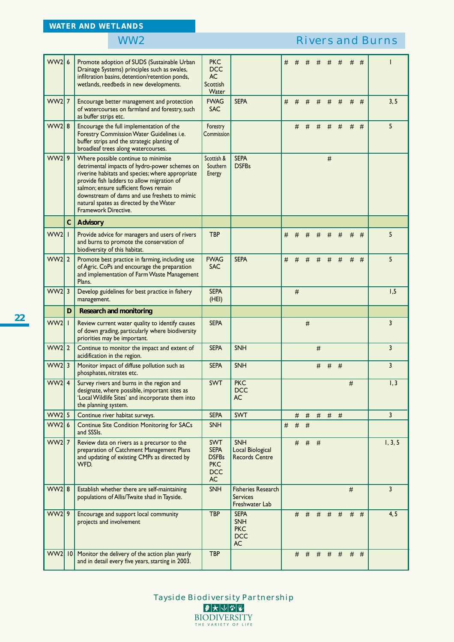| WW26               |              |                                                                                                                                                                                                                                                                                                                                                     |                                                                                    |                                                                    |   |       |   |           |       |   |   |       |                |
|--------------------|--------------|-----------------------------------------------------------------------------------------------------------------------------------------------------------------------------------------------------------------------------------------------------------------------------------------------------------------------------------------------------|------------------------------------------------------------------------------------|--------------------------------------------------------------------|---|-------|---|-----------|-------|---|---|-------|----------------|
|                    |              | Promote adoption of SUDS (Sustainable Urban<br>Drainage Systems) principles such as swales,<br>infiltration basins, detention/retention ponds,<br>wetlands, reedbeds in new developments.                                                                                                                                                           | <b>PKC</b><br><b>DCC</b><br><b>AC</b><br>Scottish<br>Water                         |                                                                    | # | #     | # | #         | #     | # | # | #     |                |
| $WW2$ 7            |              | Encourage better management and protection<br>of watercourses on farmland and forestry, such<br>as buffer strips etc.                                                                                                                                                                                                                               | <b>FWAG</b><br><b>SAC</b>                                                          | <b>SEPA</b>                                                        | # | #     | # | #         | #     | # | # | #     | 3, 5           |
| $WW2$ 8            |              | Encourage the full implementation of the<br>Forestry Commission Water Guidelines i.e.<br>buffer strips and the strategic planting of<br>broadleaf trees along watercourses.                                                                                                                                                                         | Forestry<br>Commission                                                             |                                                                    |   | #     | # | #         | #     | # | # | #     | 5              |
| $WW2$   9          |              | Where possible continue to minimise<br>detrimental impacts of hydro-power schemes on<br>riverine habitats and species; where appropriate<br>provide fish ladders to allow migration of<br>salmon; ensure sufficient flows remain<br>downstream of dams and use freshets to mimic<br>natural spates as directed by the Water<br>Framework Directive. | Scottish &<br>Southern<br>Energy                                                   | <b>SEPA</b><br><b>DSFBs</b>                                        |   |       |   |           | $\#$  |   |   |       |                |
|                    | $\mathsf{C}$ | <b>Advisory</b>                                                                                                                                                                                                                                                                                                                                     |                                                                                    |                                                                    |   |       |   |           |       |   |   |       |                |
| $WW2$   1          |              | Provide advice for managers and users of rivers<br>and burns to promote the conservation of<br>biodiversity of this habitat.                                                                                                                                                                                                                        | <b>TBP</b>                                                                         |                                                                    | # | #     |   | #         | #     | # | # | #     | 5              |
| $WW2$ 2            |              | Promote best practice in farming, including use<br>of Agric. CoPs and encourage the preparation<br>and implementation of Farm Waste Management<br>Plans.                                                                                                                                                                                            | <b>FWAG</b><br><b>SAC</b>                                                          | <b>SEPA</b>                                                        | # | #     | # | #         | #     | # | # | #     | 5              |
| $WW2$ 3            |              | Develop guidelines for best practice in fishery<br>management.                                                                                                                                                                                                                                                                                      | <b>SEPA</b><br>(HEI)                                                               |                                                                    |   | #     |   |           |       |   |   |       | 1,5            |
|                    | D            | <b>Research and monitoring</b>                                                                                                                                                                                                                                                                                                                      |                                                                                    |                                                                    |   |       |   |           |       |   |   |       |                |
| WW <sub>2</sub>    |              |                                                                                                                                                                                                                                                                                                                                                     |                                                                                    |                                                                    |   |       |   |           |       |   |   |       |                |
|                    |              | Review current water quality to identify causes<br>of down grading, particularly where biodiversity<br>priorities may be important.                                                                                                                                                                                                                 | <b>SEPA</b>                                                                        |                                                                    |   |       | # |           |       |   |   |       | 3              |
| $WW2$ 2            |              | Continue to monitor the impact and extent of<br>acidification in the region.                                                                                                                                                                                                                                                                        | <b>SEPA</b>                                                                        | <b>SNH</b>                                                         |   |       |   | #         |       |   |   |       | $\overline{3}$ |
| $WW2$ 3            |              | Monitor impact of diffuse pollution such as<br>phosphates, nitrates etc.                                                                                                                                                                                                                                                                            | <b>SEPA</b>                                                                        | <b>SNH</b>                                                         |   |       |   | #         | #     | # |   |       | 3              |
| $WW2$ 4            |              | Survey rivers and burns in the region and<br>designate, where possible, important sites as<br>'Local Wildlife Sites' and incorporate them into<br>the planning system.                                                                                                                                                                              | <b>SWT</b>                                                                         | <b>PKC</b><br><b>DCC</b><br><b>AC</b>                              |   |       |   |           |       |   | # |       | 1,3            |
| $WW2$ 5            |              | Continue river habitat surveys.                                                                                                                                                                                                                                                                                                                     | <b>SEPA</b>                                                                        | <b>SWT</b>                                                         |   |       |   | # # # # # |       |   |   |       | $\overline{3}$ |
| WW26               |              | <b>Continue Site Condition Monitoring for SACs</b><br>and SSSIs.                                                                                                                                                                                                                                                                                    | <b>SNH</b>                                                                         |                                                                    | # | $#$ # |   |           |       |   |   |       |                |
| $WW2$ 7            |              | Review data on rivers as a precursor to the<br>preparation of Catchment Management Plans<br>and updating of existing CMPs as directed by<br>WFD.                                                                                                                                                                                                    | <b>SWT</b><br><b>SEPA</b><br><b>DSFBs</b><br><b>PKC</b><br><b>DCC</b><br><b>AC</b> | <b>SNH</b><br><b>Local Biological</b><br><b>Records Centre</b>     |   | #     |   | $#$ #     |       |   |   |       | 1, 3, 5        |
| $WW2$ 8            |              | Establish whether there are self-maintaining<br>populations of Allis/Twaite shad in Tayside.                                                                                                                                                                                                                                                        | <b>SNH</b>                                                                         | <b>Fisheries Research</b><br><b>Services</b><br>Freshwater Lab     |   |       |   |           |       |   | # |       | $\overline{3}$ |
| $WW2$  9<br>WW2 10 |              | Encourage and support local community<br>projects and involvement<br>Monitor the delivery of the action plan yearly                                                                                                                                                                                                                                 | <b>TBP</b><br><b>TBP</b>                                                           | <b>SEPA</b><br><b>SNH</b><br><b>PKC</b><br><b>DCC</b><br><b>AC</b> |   | #     | # | #         | $#$ # |   |   | $#$ # | 4, 5           |

Tayside Biodiversity Partnership **BIODIVERSITY** THE VARIETY OF LIFE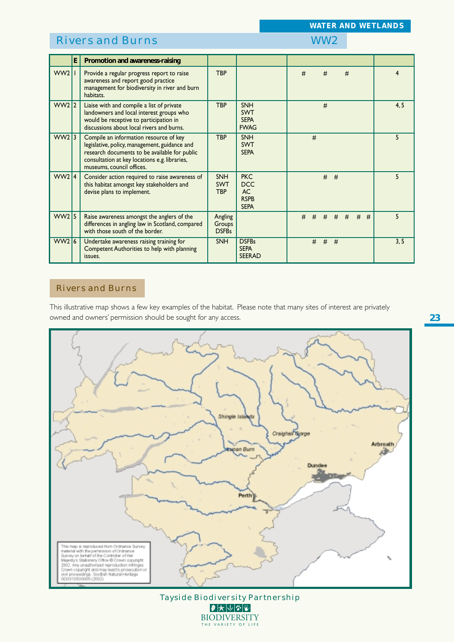*WATER AND WETLANDS*

|         | E | Promotion and awareness-raising                                                                                                                                                                                        |                                        |                                                              |   |   |   |             |   |        |   |      |
|---------|---|------------------------------------------------------------------------------------------------------------------------------------------------------------------------------------------------------------------------|----------------------------------------|--------------------------------------------------------------|---|---|---|-------------|---|--------|---|------|
| WW211   |   | Provide a regular progress report to raise<br>awareness and report good practice<br>management for biodiversity in river and burn<br>habitats.                                                                         | <b>TBP</b>                             |                                                              | # |   | # |             | # |        | 4 |      |
| WW2 2   |   | Liaise with and compile a list of private<br>landowners and local interest groups who<br>would be receptive to participation in<br>discussions about local rivers and burns.                                           | <b>TBP</b>                             | <b>SNH</b><br><b>SWT</b><br><b>SEPA</b><br><b>FWAG</b>       |   |   | # |             |   |        |   | 4, 5 |
| WW2 3   |   | Compile an information resource of key<br>legislative, policy, management, guidance and<br>research documents to be available for public<br>consultation at key locations e.g. libraries,<br>museums, council offices. | <b>TBP</b>                             | <b>SNH</b><br><b>SWT</b><br><b>SEPA</b>                      |   | # |   |             |   |        | 5 |      |
| WW2 4   |   | Consider action required to raise awareness of<br>this habitat amongst key stakeholders and<br>devise plans to implement.                                                                                              | <b>SNH</b><br><b>SWT</b><br><b>TBP</b> | <b>PKC</b><br><b>DCC</b><br>AC<br><b>RSPB</b><br><b>SEPA</b> |   |   |   | $#$ #       |   |        | 5 |      |
| $WW2$ 5 |   | Raise awareness amongst the anglers of the<br>differences in angling law in Scotland, compared<br>with those south of the border.                                                                                      | Angling<br>Groups<br><b>DSFBs</b>      |                                                              | # | # |   | $#$ $#$ $#$ |   | #<br># | 5 |      |
| WW216   |   | Undertake awareness raising training for<br>Competent Authorities to help with planning<br>issues.                                                                                                                     | <b>SNH</b>                             | <b>DSFBs</b><br><b>SEPA</b><br><b>SEERAD</b>                 |   | # | # | #           |   |        |   | 3, 5 |

## Rivers and Burns

This illustrative map shows a few key examples of the habitat. Please note that many sites of interest are privately owned and owners' permission should be sought for any access.



Tayside Biodiversity Partnership 2大小空窗 **BIODIVERSITY** THE VARIETY OF LIFE